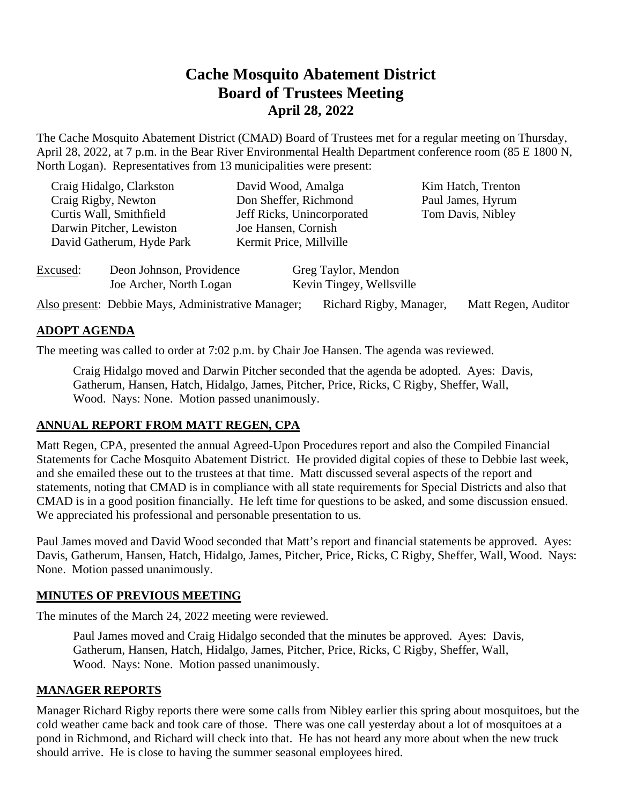# **Cache Mosquito Abatement District Board of Trustees Meeting April 28, 2022**

The Cache Mosquito Abatement District (CMAD) Board of Trustees met for a regular meeting on Thursday, April 28, 2022, at 7 p.m. in the Bear River Environmental Health Department conference room (85 E 1800 N, North Logan). Representatives from 13 municipalities were present:

| Craig Hidalgo, Clarkston<br>Craig Rigby, Newton     |                          | David Wood, Amalga<br>Don Sheffer, Richmond | Kim Hatch, Trenton                     |
|-----------------------------------------------------|--------------------------|---------------------------------------------|----------------------------------------|
|                                                     |                          | Jeff Ricks, Unincorporated                  | Paul James, Hyrum<br>Tom Davis, Nibley |
| Curtis Wall, Smithfield<br>Darwin Pitcher, Lewiston |                          | Joe Hansen, Cornish                         |                                        |
| David Gatherum, Hyde Park                           |                          | Kermit Price, Millville                     |                                        |
| Excused:                                            | Deon Johnson, Providence | Greg Taylor, Mendon                         |                                        |

| Also present: Debbie Mays, Administrative Manager; | Richard Rigby, Manager, Matt Regen, Auditor |  |
|----------------------------------------------------|---------------------------------------------|--|

### **ADOPT AGENDA**

The meeting was called to order at 7:02 p.m. by Chair Joe Hansen. The agenda was reviewed.

Joe Archer, North Logan Kevin Tingey, Wellsville

Craig Hidalgo moved and Darwin Pitcher seconded that the agenda be adopted. Ayes: Davis, Gatherum, Hansen, Hatch, Hidalgo, James, Pitcher, Price, Ricks, C Rigby, Sheffer, Wall, Wood. Nays: None. Motion passed unanimously.

#### **ANNUAL REPORT FROM MATT REGEN, CPA**

Matt Regen, CPA, presented the annual Agreed-Upon Procedures report and also the Compiled Financial Statements for Cache Mosquito Abatement District. He provided digital copies of these to Debbie last week, and she emailed these out to the trustees at that time. Matt discussed several aspects of the report and statements, noting that CMAD is in compliance with all state requirements for Special Districts and also that CMAD is in a good position financially. He left time for questions to be asked, and some discussion ensued. We appreciated his professional and personable presentation to us.

Paul James moved and David Wood seconded that Matt's report and financial statements be approved. Ayes: Davis, Gatherum, Hansen, Hatch, Hidalgo, James, Pitcher, Price, Ricks, C Rigby, Sheffer, Wall, Wood. Nays: None. Motion passed unanimously.

#### **MINUTES OF PREVIOUS MEETING**

The minutes of the March 24, 2022 meeting were reviewed.

Paul James moved and Craig Hidalgo seconded that the minutes be approved. Ayes: Davis, Gatherum, Hansen, Hatch, Hidalgo, James, Pitcher, Price, Ricks, C Rigby, Sheffer, Wall, Wood. Nays: None. Motion passed unanimously.

#### **MANAGER REPORTS**

Manager Richard Rigby reports there were some calls from Nibley earlier this spring about mosquitoes, but the cold weather came back and took care of those. There was one call yesterday about a lot of mosquitoes at a pond in Richmond, and Richard will check into that. He has not heard any more about when the new truck should arrive. He is close to having the summer seasonal employees hired.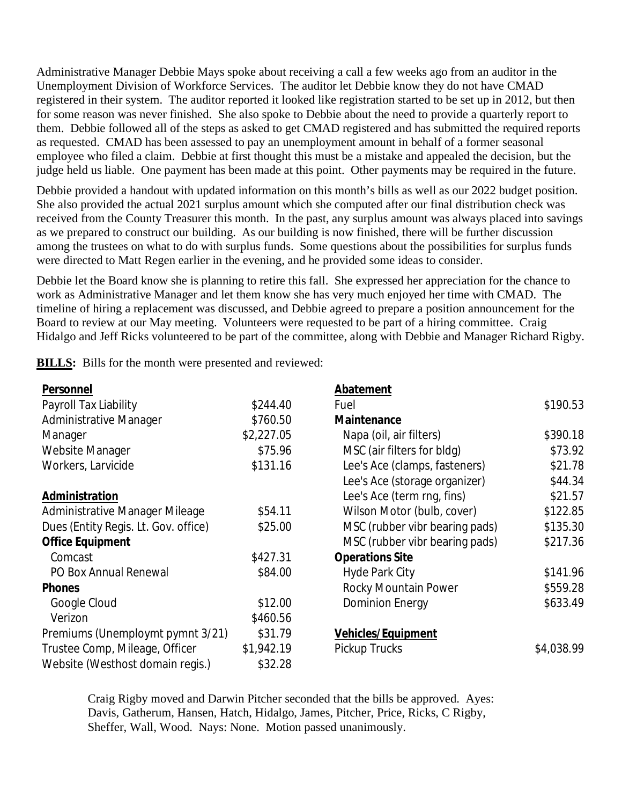Administrative Manager Debbie Mays spoke about receiving a call a few weeks ago from an auditor in the Unemployment Division of Workforce Services. The auditor let Debbie know they do not have CMAD registered in their system. The auditor reported it looked like registration started to be set up in 2012, but then for some reason was never finished. She also spoke to Debbie about the need to provide a quarterly report to them. Debbie followed all of the steps as asked to get CMAD registered and has submitted the required reports as requested. CMAD has been assessed to pay an unemployment amount in behalf of a former seasonal employee who filed a claim. Debbie at first thought this must be a mistake and appealed the decision, but the judge held us liable. One payment has been made at this point. Other payments may be required in the future.

Debbie provided a handout with updated information on this month's bills as well as our 2022 budget position. She also provided the actual 2021 surplus amount which she computed after our final distribution check was received from the County Treasurer this month. In the past, any surplus amount was always placed into savings as we prepared to construct our building. As our building is now finished, there will be further discussion among the trustees on what to do with surplus funds. Some questions about the possibilities for surplus funds were directed to Matt Regen earlier in the evening, and he provided some ideas to consider.

Debbie let the Board know she is planning to retire this fall. She expressed her appreciation for the chance to work as Administrative Manager and let them know she has very much enjoyed her time with CMAD. The timeline of hiring a replacement was discussed, and Debbie agreed to prepare a position announcement for the Board to review at our May meeting. Volunteers were requested to be part of a hiring committee. Craig Hidalgo and Jeff Ricks volunteered to be part of the committee, along with Debbie and Manager Richard Rigby.

**BILLS:** Bills for the month were presented and reviewed:

| Personnel                            |            | Abatement                      |            |
|--------------------------------------|------------|--------------------------------|------------|
| Payroll Tax Liability                | \$244.40   | Fuel                           | \$190.53   |
| Administrative Manager               | \$760.50   | Maintenance                    |            |
| Manager                              | \$2,227.05 | Napa (oil, air filters)        | \$390.18   |
| Website Manager                      | \$75.96    | MSC (air filters for bldg)     | \$73.92    |
| Workers, Larvicide                   | \$131.16   | Lee's Ace (clamps, fasteners)  | \$21.78    |
|                                      |            | Lee's Ace (storage organizer)  | \$44.34    |
| Administration                       |            | Lee's Ace (term rng, fins)     | \$21.57    |
| Administrative Manager Mileage       | \$54.11    | Wilson Motor (bulb, cover)     | \$122.85   |
| Dues (Entity Regis. Lt. Gov. office) | \$25.00    | MSC (rubber vibr bearing pads) | \$135.30   |
| <b>Office Equipment</b>              |            | MSC (rubber vibr bearing pads) | \$217.36   |
| Comcast                              | \$427.31   | <b>Operations Site</b>         |            |
| <b>PO Box Annual Renewal</b>         | \$84.00    | <b>Hyde Park City</b>          | \$141.96   |
| <b>Phones</b>                        |            | Rocky Mountain Power           | \$559.28   |
| Google Cloud                         | \$12.00    | <b>Dominion Energy</b>         | \$633.49   |
| Verizon                              | \$460.56   |                                |            |
| Premiums (Unemploymt pymnt 3/21)     | \$31.79    | <b>Vehicles/Equipment</b>      |            |
| Trustee Comp, Mileage, Officer       | \$1,942.19 | Pickup Trucks                  | \$4,038.99 |
| Website (Westhost domain regis.)     | \$32.28    |                                |            |

Craig Rigby moved and Darwin Pitcher seconded that the bills be approved. Ayes: Davis, Gatherum, Hansen, Hatch, Hidalgo, James, Pitcher, Price, Ricks, C Rigby, Sheffer, Wall, Wood. Nays: None. Motion passed unanimously.